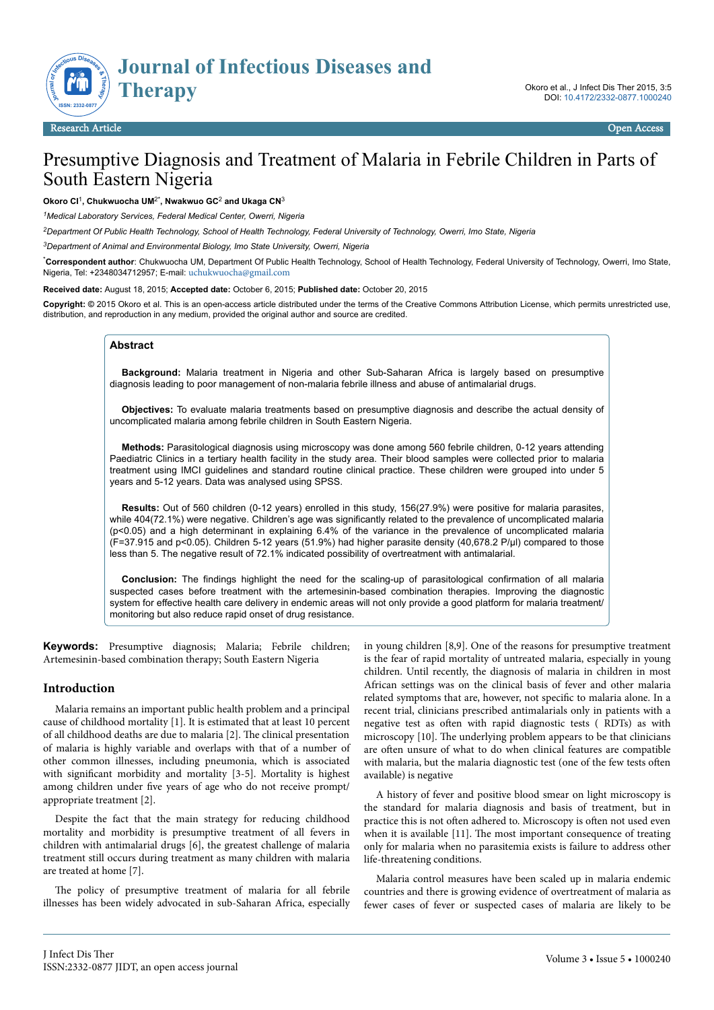

# Presumptive Diagnosis and Treatment of Malaria in Febrile Children in Parts of South Eastern Nigeria

#### **Okoro CI**<sup>1</sup> **, Chukwuocha UM**2\***, Nwakwuo GC**<sup>2</sup>  **and Ukaga CN**<sup>3</sup>

*<sup>1</sup>Medical Laboratory Services, Federal Medical Center, Owerri, Nigeria*

*<sup>2</sup>Department Of Public Health Technology, School of Health Technology, Federal University of Technology, Owerri, Imo State, Nigeria*

*<sup>3</sup>Department of Animal and Environmental Biology, Imo State University, Owerri, Nigeria*

\***Correspondent author**: Chukwuocha UM, Department Of Public Health Technology, School of Health Technology, Federal University of Technology, Owerri, Imo State, Nigeria, Tel: +2348034712957; E-mail: [uchukwuocha@gmail.com](mailto:uchukwuocha@gmail.com)

**Received date:** August 18, 2015; **Accepted date:** October 6, 2015; **Published date:** October 20, 2015

**Copyright: ©** 2015 Okoro et al. This is an open-access article distributed under the terms of the Creative Commons Attribution License, which permits unrestricted use, distribution, and reproduction in any medium, provided the original author and source are credited.

#### **Abstract**

**Background:** Malaria treatment in Nigeria and other Sub-Saharan Africa is largely based on presumptive diagnosis leading to poor management of non-malaria febrile illness and abuse of antimalarial drugs.

**Objectives:** To evaluate malaria treatments based on presumptive diagnosis and describe the actual density of uncomplicated malaria among febrile children in South Eastern Nigeria.

**Methods:** Parasitological diagnosis using microscopy was done among 560 febrile children, 0-12 years attending Paediatric Clinics in a tertiary health facility in the study area. Their blood samples were collected prior to malaria treatment using IMCI guidelines and standard routine clinical practice. These children were grouped into under 5 years and 5-12 years. Data was analysed using SPSS.

**Results:** Out of 560 children (0-12 years) enrolled in this study, 156(27.9%) were positive for malaria parasites, while 404(72.1%) were negative. Children's age was significantly related to the prevalence of uncomplicated malaria (p<0.05) and a high determinant in explaining 6.4% of the variance in the prevalence of uncomplicated malaria  $(F=37.915$  and p<0.05). Children 5-12 years (51.9%) had higher parasite density (40,678.2 P/µl) compared to those less than 5. The negative result of 72.1% indicated possibility of overtreatment with antimalarial.

**Conclusion:** The findings highlight the need for the scaling-up of parasitological confirmation of all malaria suspected cases before treatment with the artemesinin-based combination therapies. Improving the diagnostic system for effective health care delivery in endemic areas will not only provide a good platform for malaria treatment/ monitoring but also reduce rapid onset of drug resistance.

**Keywords:** Presumptive diagnosis; Malaria; Febrile children; Artemesinin-based combination therapy; South Eastern Nigeria

#### **Introduction**

Malaria remains an important public health problem and a principal cause of childhood mortality [1]. It is estimated that at least 10 percent of all childhood deaths are due to malaria [2]. Нe clinical presentation of malaria is highly variable and overlaps with that of a number of other common illnesses, including pneumonia, which is associated with significant morbidity and mortality [3-5]. Mortality is highest among children under five years of age who do not receive prompt/ appropriate treatment [2].

Despite the fact that the main strategy for reducing childhood mortality and morbidity is presumptive treatment of all fevers in children with antimalarial drugs [6], the greatest challenge of malaria treatment still occurs during treatment as many children with malaria are treated at home [7].

The policy of presumptive treatment of malaria for all febrile illnesses has been widely advocated in sub-Saharan Africa, especially in young children [8,9]. One of the reasons for presumptive treatment is the fear of rapid mortality of untreated malaria, especially in young children. Until recently, the diagnosis of malaria in children in most African settings was on the clinical basis of fever and other malaria related symptoms that are, however, not specific to malaria alone. In a recent trial, clinicians prescribed antimalarials only in patients with a negative test as often with rapid diagnostic tests (RDTs) as with microscopy [10]. Нe underlying problem appears to be that clinicians are often unsure of what to do when clinical features are compatible with malaria, but the malaria diagnostic test (one of the few tests often available) is negative

A history of fever and positive blood smear on light microscopy is the standard for malaria diagnosis and basis of treatment, but in practice this is not often adhered to. Microscopy is often not used even when it is available [11]. The most important consequence of treating only for malaria when no parasitemia exists is failure to address other life-threatening conditions.

Malaria control measures have been scaled up in malaria endemic countries and there is growing evidence of overtreatment of malaria as fewer cases of fever or suspected cases of malaria are likely to be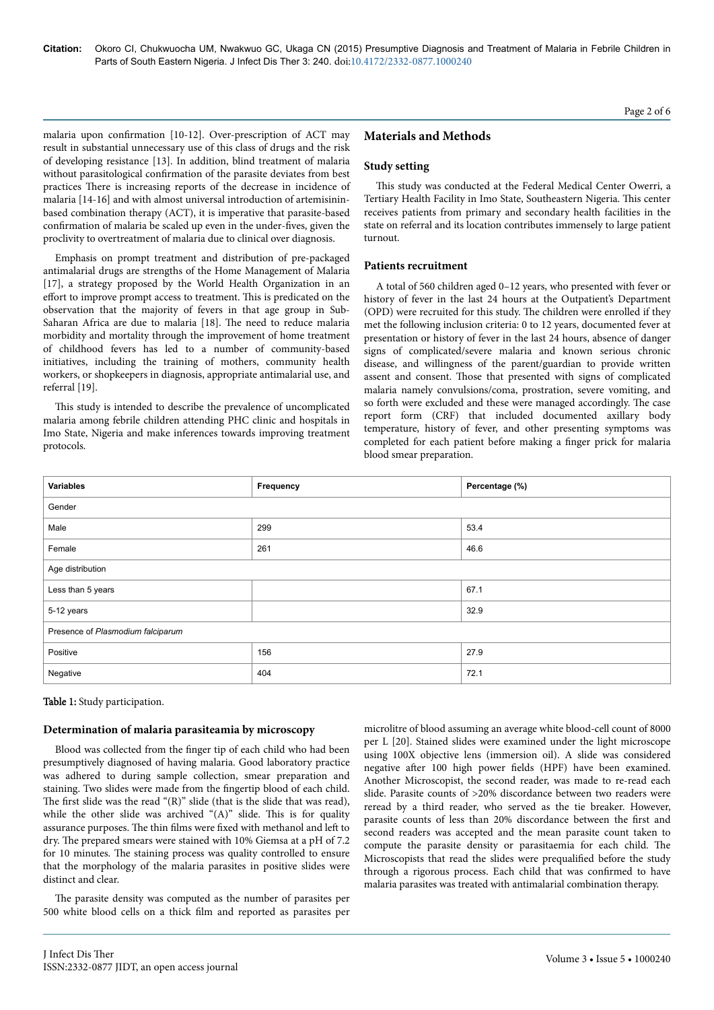**Citation:** Okoro CI, Chukwuocha UM, Nwakwuo GC, Ukaga CN (2015) Presumptive Diagnosis and Treatment of Malaria in Febrile Children in Parts of South Eastern Nigeria. J Infect Dis Ther 3: 240. doi:10.4172/2332-0877.1000240

Page 2 of 6

malaria upon confirmation  $[10-12]$ . Over-prescription of ACT may result in substantial unnecessary use of this class of drugs and the risk of developing resistance [13]. In addition, blind treatment of malaria without parasitological confirmation of the parasite deviates from best practices Нere is increasing reports of the decrease in incidence of malaria [14-16] and with almost universal introduction of artemisininbased combination therapy (ACT), it is imperative that parasite-based confirmation of malaria be scaled up even in the under-fives, given the proclivity to overtreatment of malaria due to clinical over diagnosis.

Emphasis on prompt treatment and distribution of pre-packaged antimalarial drugs are strengths of the Home Management of Malaria [17], a strategy proposed by the World Health Organization in an effort to improve prompt access to treatment. This is predicated on the observation that the majority of fevers in that age group in Sub-Saharan Africa are due to malaria [18]. Нe need to reduce malaria morbidity and mortality through the improvement of home treatment of childhood fevers has led to a number of community-based initiatives, including the training of mothers, community health workers, or shopkeepers in diagnosis, appropriate antimalarial use, and referral [19].

This study is intended to describe the prevalence of uncomplicated malaria among febrile children attending PHC clinic and hospitals in Imo State, Nigeria and make inferences towards improving treatment protocols.

# **Materials and Methods**

## **Study setting**

This study was conducted at the Federal Medical Center Owerri, a Tertiary Health Facility in Imo State, Southeastern Nigeria. This center receives patients from primary and secondary health facilities in the state on referral and its location contributes immensely to large patient turnout.

#### **Patients recruitment**

A total of 560 children aged 0–12 years, who presented with fever or history of fever in the last 24 hours at the Outpatient's Department (OPD) were recruited for this study. Нe children were enrolled if they met the following inclusion criteria: 0 to 12 years, documented fever at presentation or history of fever in the last 24 hours, absence of danger signs of complicated/severe malaria and known serious chronic disease, and willingness of the parent/guardian to provide written assent and consent. Нose that presented with signs of complicated malaria namely convulsions/coma, prostration, severe vomiting, and so forth were excluded and these were managed accordingly. Нe case report form (CRF) that included documented axillary body temperature, history of fever, and other presenting symptoms was completed for each patient before making a finger prick for malaria blood smear preparation.

| Variables                         | Frequency | Percentage (%) |  |  |  |
|-----------------------------------|-----------|----------------|--|--|--|
| Gender                            |           |                |  |  |  |
| Male                              | 299       | 53.4           |  |  |  |
| Female                            | 261       | 46.6           |  |  |  |
| Age distribution                  |           |                |  |  |  |
| Less than 5 years                 |           | 67.1           |  |  |  |
| 5-12 years                        |           | 32.9           |  |  |  |
| Presence of Plasmodium falciparum |           |                |  |  |  |
| Positive                          | 156       | 27.9           |  |  |  |
| Negative                          | 404       | 72.1           |  |  |  |

Table 1: Study participation.

#### **Determination of malaria parasiteamia by microscopy**

Blood was collected from the finger tip of each child who had been presumptively diagnosed of having malaria. Good laboratory practice was adhered to during sample collection, smear preparation and staining. Two slides were made from the fingertip blood of each child. The first slide was the read " $(R)$ " slide (that is the slide that was read), while the other slide was archived " $(A)$ " slide. This is for quality assurance purposes. The thin films were fixed with methanol and left to dry. Нe prepared smears were stained with 10% Giemsa at a pH of 7.2 for 10 minutes. Нe staining process was quality controlled to ensure that the morphology of the malaria parasites in positive slides were distinct and clear.

The parasite density was computed as the number of parasites per 500 white blood cells on a thick film and reported as parasites per

microlitre of blood assuming an average white blood-cell count of 8000 per L [20]. Stained slides were examined under the light microscope using 100X objective lens (immersion oil). A slide was considered negative after 100 high power fields (HPF) have been examined. Another Microscopist, the second reader, was made to re-read each slide. Parasite counts of >20% discordance between two readers were reread by a third reader, who served as the tie breaker. However, parasite counts of less than 20% discordance between the first and second readers was accepted and the mean parasite count taken to compute the parasite density or parasitaemia for each child. Нe Microscopists that read the slides were prequalified before the study through a rigorous process. Each child that was confirmed to have malaria parasites was treated with antimalarial combination therapy.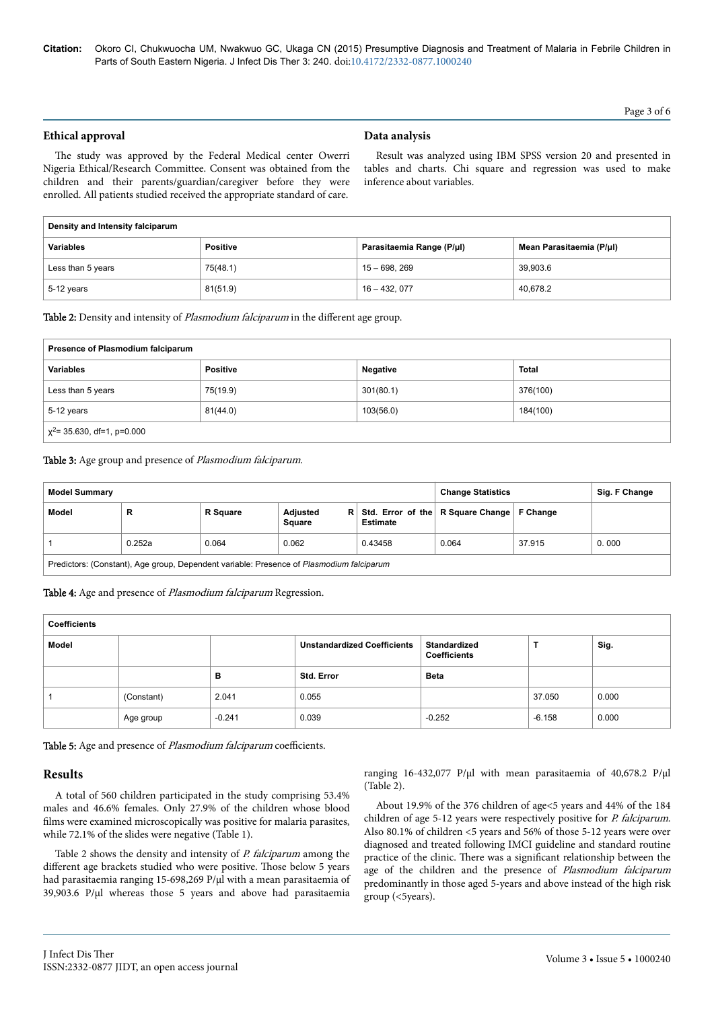**Citation:** Okoro CI, Chukwuocha UM, Nwakwuo GC, Ukaga CN (2015) Presumptive Diagnosis and Treatment of Malaria in Febrile Children in Parts of South Eastern Nigeria. J Infect Dis Ther 3: 240. doi:10.4172/2332-0877.1000240

Page 3 of 6

### **Ethical approval**

## **Data analysis**

The study was approved by the Federal Medical center Owerri Nigeria Ethical/Research Committee. Consent was obtained from the children and their parents/guardian/caregiver before they were enrolled. All patients studied received the appropriate standard of care.

Result was analyzed using IBM SPSS version 20 and presented in tables and charts. Chi square and regression was used to make inference about variables.

| Density and Intensity falciparum |                 |                           |                          |  |  |
|----------------------------------|-----------------|---------------------------|--------------------------|--|--|
| <b>Variables</b>                 | <b>Positive</b> | Parasitaemia Range (P/µl) | Mean Parasitaemia (P/µl) |  |  |
| Less than 5 years                | 75(48.1)        | 15 - 698, 269             | 39.903.6                 |  |  |
| 5-12 years                       | 81(51.9)        | 16 - 432, 077             | 40,678.2                 |  |  |

Table 2: Density and intensity of *Plasmodium falciparum* in the different age group.

| Presence of Plasmodium falciparum |                 |           |          |  |  |
|-----------------------------------|-----------------|-----------|----------|--|--|
| <b>Variables</b>                  | <b>Positive</b> | Negative  | Total    |  |  |
| Less than 5 years                 | 75(19.9)        | 301(80.1) | 376(100) |  |  |
| 5-12 years                        | 81(44.0)        | 103(56.0) | 184(100) |  |  |
| $x^2$ = 35.630, df = 1, p = 0.000 |                 |           |          |  |  |

#### Table 3: Age group and presence of Plasmodium falciparum.

| <b>Model Summary</b>                                                                     |        |          |                    | <b>Change Statistics</b>                                          |       | Sig. F Change |       |
|------------------------------------------------------------------------------------------|--------|----------|--------------------|-------------------------------------------------------------------|-------|---------------|-------|
| Model                                                                                    | R      | R Square | Adjusted<br>Square | $R$ Std. Error of the R Square Change F Change<br><b>Estimate</b> |       |               |       |
|                                                                                          | 0.252a | 0.064    | 0.062              | 0.43458                                                           | 0.064 | 37.915        | 0.000 |
| Predictors: (Constant), Age group, Dependent variable: Presence of Plasmodium falciparum |        |          |                    |                                                                   |       |               |       |

Table 4: Age and presence of Plasmodium falciparum Regression.

| <b>Coefficients</b> |            |          |                                    |                                     |          |       |
|---------------------|------------|----------|------------------------------------|-------------------------------------|----------|-------|
| Model               |            |          | <b>Unstandardized Coefficients</b> | Standardized<br><b>Coefficients</b> |          | Sig.  |
|                     |            | в        | Std. Error                         | <b>Beta</b>                         |          |       |
|                     | (Constant) | 2.041    | 0.055                              |                                     | 37.050   | 0.000 |
|                     | Age group  | $-0.241$ | 0.039                              | $-0.252$                            | $-6.158$ | 0.000 |

Table 5: Age and presence of Plasmodium falciparum coefficients.

#### **Results**

A total of 560 children participated in the study comprising 53.4% males and 46.6% females. Only 27.9% of the children whose blood films were examined microscopically was positive for malaria parasites, while 72.1% of the slides were negative (Table 1).

Table 2 shows the density and intensity of *P. falciparum* among the different age brackets studied who were positive. Those below 5 years had parasitaemia ranging 15-698,269 P/μl with a mean parasitaemia of 39,903.6 P/μl whereas those 5 years and above had parasitaemia

ranging 16-432,077 P/μl with mean parasitaemia of 40,678.2 P/μl (Table 2).

About 19.9% of the 376 children of age<5 years and 44% of the 184 children of age 5-12 years were respectively positive for P. falciparum. Also 80.1% of children <5 years and 56% of those 5-12 years were over diagnosed and treated following IMCI guideline and standard routine practice of the clinic. There was a significant relationship between the age of the children and the presence of Plasmodium falciparum predominantly in those aged 5-years and above instead of the high risk group (<5years).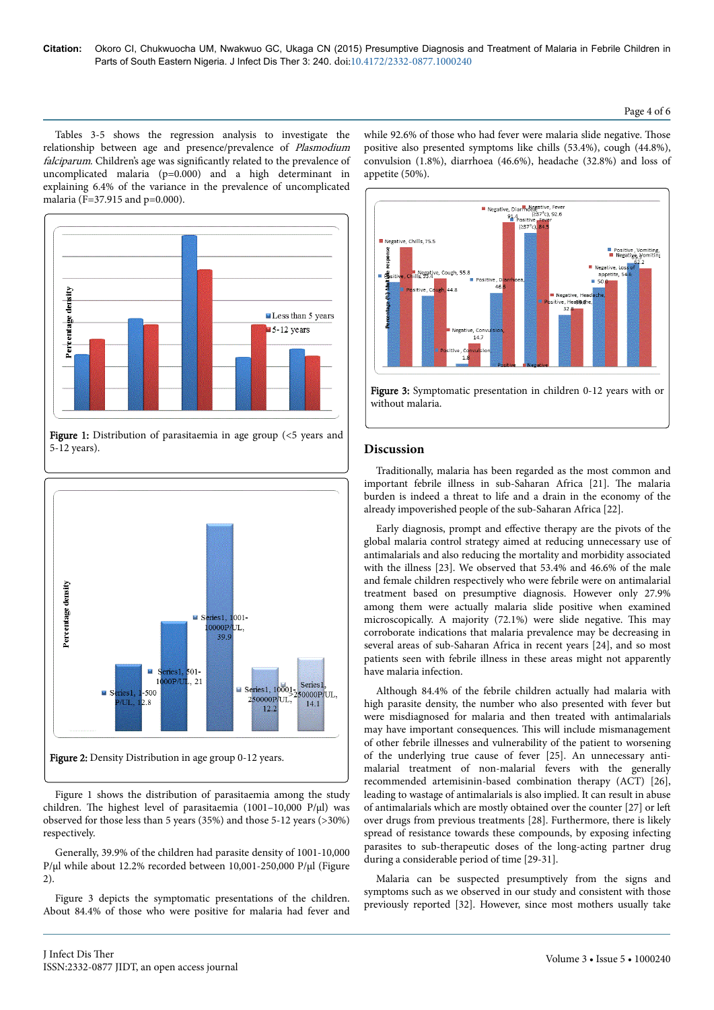# Page 4 of 6

Tables 3-5 shows the regression analysis to investigate the relationship between age and presence/prevalence of Plasmodium falciparum. Children's age was significantly related to the prevalence of uncomplicated malaria (p=0.000) and a high determinant in explaining 6.4% of the variance in the prevalence of uncomplicated malaria (F=37.915 and p=0.000).



Figure 1: Distribution of parasitaemia in age group (<5 years and 5-12 years).



Figure 1 shows the distribution of parasitaemia among the study children. Нe highest level of parasitaemia (1001–10,000 P/μl) was observed for those less than 5 years (35%) and those 5-12 years (>30%) respectively.

Generally, 39.9% of the children had parasite density of 1001-10,000 P/μl while about 12.2% recorded between 10,001-250,000 P/μl (Figure 2).

Figure 3 depicts the symptomatic presentations of the children. About 84.4% of those who were positive for malaria had fever and while 92.6% of those who had fever were malaria slide negative. Нose positive also presented symptoms like chills (53.4%), cough (44.8%), convulsion (1.8%), diarrhoea (46.6%), headache (32.8%) and loss of appetite (50%).



without malaria.

# **Discussion**

Traditionally, malaria has been regarded as the most common and important febrile illness in sub-Saharan Africa [21]. Нe malaria burden is indeed a threat to life and a drain in the economy of the already impoverished people of the sub-Saharan Africa [22].

Early diagnosis, prompt and effective therapy are the pivots of the global malaria control strategy aimed at reducing unnecessary use of antimalarials and also reducing the mortality and morbidity associated with the illness [23]. We observed that 53.4% and 46.6% of the male and female children respectively who were febrile were on antimalarial treatment based on presumptive diagnosis. However only 27.9% among them were actually malaria slide positive when examined microscopically. A majority (72.1%) were slide negative. This may corroborate indications that malaria prevalence may be decreasing in several areas of sub-Saharan Africa in recent years [24], and so most patients seen with febrile illness in these areas might not apparently have malaria infection.

Although 84.4% of the febrile children actually had malaria with high parasite density, the number who also presented with fever but were misdiagnosed for malaria and then treated with antimalarials may have important consequences. This will include mismanagement of other febrile illnesses and vulnerability of the patient to worsening of the underlying true cause of fever [25]. An unnecessary antimalarial treatment of non-malarial fevers with the generally recommended artemisinin-based combination therapy (ACT) [26], leading to wastage of antimalarials is also implied. It can result in abuse of antimalarials which are mostly obtained over the counter [27] or left over drugs from previous treatments [28]. Furthermore, there is likely spread of resistance towards these compounds, by exposing infecting parasites to sub-therapeutic doses of the long-acting partner drug during a considerable period of time [29-31].

Malaria can be suspected presumptively from the signs and symptoms such as we observed in our study and consistent with those previously reported [32]. However, since most mothers usually take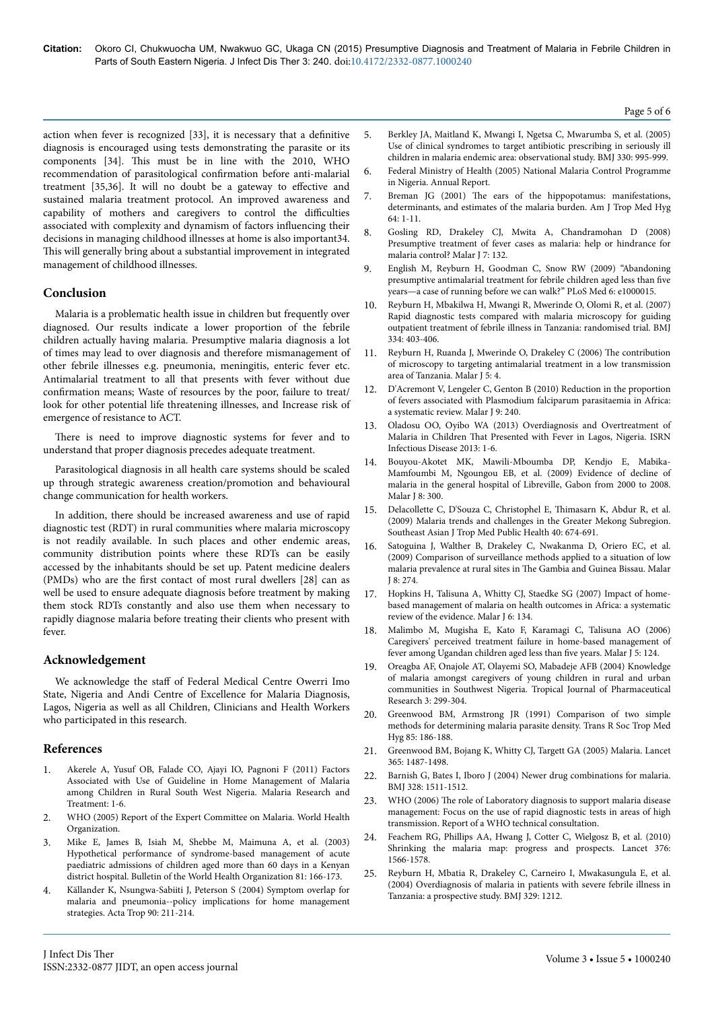action when fever is recognized  $[33]$ , it is necessary that a definitive diagnosis is encouraged using tests demonstrating the parasite or its components [34]. This must be in line with the 2010, WHO recommendation of parasitological confirmation before anti-malarial treatment [35,36]. It will no doubt be a gateway to effective and sustained malaria treatment protocol. An improved awareness and capability of mothers and caregivers to control the difficulties associated with complexity and dynamism of factors influencing their decisions in managing childhood illnesses at home is also important34. This will generally bring about a substantial improvement in integrated management of childhood illnesses.

## **Conclusion**

Malaria is a problematic health issue in children but frequently over diagnosed. Our results indicate a lower proportion of the febrile children actually having malaria. Presumptive malaria diagnosis a lot of times may lead to over diagnosis and therefore mismanagement of other febrile illnesses e.g. pneumonia, meningitis, enteric fever etc. Antimalarial treatment to all that presents with fever without due confirmation means; Waste of resources by the poor, failure to treat/ look for other potential life threatening illnesses, and Increase risk of emergence of resistance to ACT.

There is need to improve diagnostic systems for fever and to understand that proper diagnosis precedes adequate treatment.

Parasitological diagnosis in all health care systems should be scaled up through strategic awareness creation/promotion and behavioural change communication for health workers.

In addition, there should be increased awareness and use of rapid diagnostic test (RDT) in rural communities where malaria microscopy is not readily available. In such places and other endemic areas, community distribution points where these RDTs can be easily accessed by the inhabitants should be set up. Patent medicine dealers (PMDs) who are the first contact of most rural dwellers [28] can as well be used to ensure adequate diagnosis before treatment by making them stock RDTs constantly and also use them when necessary to rapidly diagnose malaria before treating their clients who present with fever.

## **Acknowledgement**

We acknowledge the staff of Federal Medical Centre Owerri Imo State, Nigeria and Andi Centre of Excellence for Malaria Diagnosis, Lagos, Nigeria as well as all Children, Clinicians and Health Workers who participated in this research.

#### **References**

- 1. Akerele A, Yusuf OB, Falade CO, Ajayi IO, Pagnoni F (2011) Factors Associated with Use of Guideline in Home Management of Malaria among Children in Rural South West Nigeria. Malaria Research and Treatment: 1-6.
- 2. WHO (2005) Report of the Expert Committee on Malaria. World Health Organization.
- 3. [Mike E, James B, Isiah M, Shebbe M, Maimuna A, et al. \(2003\)](http://connection.ebscohost.com/c/articles/9470481/hypothetical-performance-syndrome-based-management-acute-paediatric-admissions-children-aged-more-than-60-days-kenyan-district-hospital) [Hypothetical performance of syndrome-based management of acute](http://connection.ebscohost.com/c/articles/9470481/hypothetical-performance-syndrome-based-management-acute-paediatric-admissions-children-aged-more-than-60-days-kenyan-district-hospital) [paediatric admissions of children aged more than 60 days in a Kenyan](http://connection.ebscohost.com/c/articles/9470481/hypothetical-performance-syndrome-based-management-acute-paediatric-admissions-children-aged-more-than-60-days-kenyan-district-hospital) [district hospital. Bulletin of the World Health Organization 81: 166-173.](http://connection.ebscohost.com/c/articles/9470481/hypothetical-performance-syndrome-based-management-acute-paediatric-admissions-children-aged-more-than-60-days-kenyan-district-hospital)
- 4. [Källander K, Nsungwa-Sabiiti J, Peterson S \(2004\) Symptom overlap for](http://www.ncbi.nlm.nih.gov/pubmed/15177148) [malaria and pneumonia--policy implications for home management](http://www.ncbi.nlm.nih.gov/pubmed/15177148) [strategies. Acta Trop 90: 211-214.](http://www.ncbi.nlm.nih.gov/pubmed/15177148)
- 5. [Berkley JA, Maitland K, Mwangi I, Ngetsa C, Mwarumba S, et al. \(2005\)](http://www.ncbi.nlm.nih.gov/pubmed/15797893) [Use of clinical syndromes to target antibiotic prescribing in seriously ill](http://www.ncbi.nlm.nih.gov/pubmed/15797893) [children in malaria endemic area: observational study. BMJ 330: 995-999.](http://www.ncbi.nlm.nih.gov/pubmed/15797893)
- 6. Federal Ministry of Health (2005) National Malaria Control Programme in Nigeria. Annual Report.
- 7. Breman JG (2001) Нe [ears of the hippopotamus: manifestations,](http://www.ncbi.nlm.nih.gov/pubmed/11425172) [determinants, and estimates of the malaria burden. Am J Trop Med Hyg](http://www.ncbi.nlm.nih.gov/pubmed/11425172) [64: 1-11.](http://www.ncbi.nlm.nih.gov/pubmed/11425172)
- 8. [Gosling RD, Drakeley CJ, Mwita A, Chandramohan D \(2008\)](http://www.ncbi.nlm.nih.gov/pubmed/18631377) [Presumptive treatment of fever cases as malaria: help or hindrance for](http://www.ncbi.nlm.nih.gov/pubmed/18631377) [malaria control? Malar J 7: 132.](http://www.ncbi.nlm.nih.gov/pubmed/18631377)
- 9. [English M, Reyburn H, Goodman C, Snow RW \(2009\) "Abandoning](http://www.ncbi.nlm.nih.gov/pubmed/19127977) [presumptive antimalarial treatment for febrile children aged less than](http://www.ncbi.nlm.nih.gov/pubmed/19127977) five [years—a case of running before we can walk?" PLoS Med 6: e1000015.](http://www.ncbi.nlm.nih.gov/pubmed/19127977)
- 10. [Reyburn H, Mbakilwa H, Mwangi R, Mwerinde O, Olomi R, et al. \(2007\)](http://www.ncbi.nlm.nih.gov/pubmed/17259188) [Rapid diagnostic tests compared with malaria microscopy for guiding](http://www.ncbi.nlm.nih.gov/pubmed/17259188) [outpatient treatment of febrile illness in Tanzania: randomised trial. BMJ](http://www.ncbi.nlm.nih.gov/pubmed/17259188) [334: 403-406.](http://www.ncbi.nlm.nih.gov/pubmed/17259188)
- 11. [Reyburn H, Ruanda J, Mwerinde O, Drakeley C \(2006\)](http://www.ncbi.nlm.nih.gov/pubmed/16423307) Нe contribution [of microscopy to targeting antimalarial treatment in a low transmission](http://www.ncbi.nlm.nih.gov/pubmed/16423307) [area of Tanzania. Malar J 5: 4.](http://www.ncbi.nlm.nih.gov/pubmed/16423307)
- 12. [D'Acremont V, Lengeler C, Genton B \(2010\) Reduction in the proportion](http://www.ncbi.nlm.nih.gov/pubmed/20727214) [of fevers associated with Plasmodium falciparum parasitaemia in Africa:](http://www.ncbi.nlm.nih.gov/pubmed/20727214) [a systematic review. Malar J 9: 240.](http://www.ncbi.nlm.nih.gov/pubmed/20727214)
- 13. [Oladosu OO, Oyibo WA \(2013\) Overdiagnosis and Overtreatment of](http://www.hindawi.com/journals/isrn/2013/914675/) Malaria in Children That [Presented with Fever in Lagos, Nigeria. ISRN](http://www.hindawi.com/journals/isrn/2013/914675/) [Infectious Disease 2013: 1-6.](http://www.hindawi.com/journals/isrn/2013/914675/)
- 14. [Bouyou-Akotet MK, Mawili-Mboumba DP, Kendjo E, Mabika-](http://www.ncbi.nlm.nih.gov/pubmed/20017905)[Mamfoumbi M, Ngoungou EB, et al. \(2009\) Evidence of decline of](http://www.ncbi.nlm.nih.gov/pubmed/20017905) [malaria in the general hospital of Libreville, Gabon from 2000 to 2008.](http://www.ncbi.nlm.nih.gov/pubmed/20017905) Malar I $8:300$
- 15. [Delacollette C, D'Souza C, Christophel E,](http://www.ncbi.nlm.nih.gov/pubmed/19842400) Thimasarn K, Abdur R, et al. [\(2009\) Malaria trends and challenges in the Greater Mekong Subregion.](http://www.ncbi.nlm.nih.gov/pubmed/19842400) [Southeast Asian J Trop Med Public Health 40: 674-691.](http://www.ncbi.nlm.nih.gov/pubmed/19842400)
- 16. [Satoguina J, Walther B, Drakeley C, Nwakanma D, Oriero EC, et al.](http://www.ncbi.nlm.nih.gov/pubmed/19954532) [\(2009\) Comparison of surveillance methods applied to a situation of low](http://www.ncbi.nlm.nih.gov/pubmed/19954532) [malaria prevalence at rural sites in](http://www.ncbi.nlm.nih.gov/pubmed/19954532) Нe Gambia and Guinea Bissau. Malar [J 8: 274.](http://www.ncbi.nlm.nih.gov/pubmed/19954532)
- 17. [Hopkins H, Talisuna A, Whitty CJ, Staedke SG \(2007\) Impact of home](http://www.ncbi.nlm.nih.gov/pubmed/17922916)[based management of malaria on health outcomes in Africa: a systematic](http://www.ncbi.nlm.nih.gov/pubmed/17922916) [review of the evidence. Malar J 6: 134.](http://www.ncbi.nlm.nih.gov/pubmed/17922916)
- 18. [Malimbo M, Mugisha E, Kato F, Karamagi C, Talisuna AO \(2006\)](http://www.ncbi.nlm.nih.gov/pubmed/17173675) [Caregivers' perceived treatment failure in home-based management of](http://www.ncbi.nlm.nih.gov/pubmed/17173675) [fever among Ugandan children aged less than](http://www.ncbi.nlm.nih.gov/pubmed/17173675) five years. Malar J 5: 124.
- 19. [Oreagba AF, Onajole AT, Olayemi SO, Mabadeje AFB \(2004\) Knowledge](http://www.tjpr.org/vol3_no1/33oreagba.pdf) [of malaria amongst caregivers of young children in rural and urban](http://www.tjpr.org/vol3_no1/33oreagba.pdf) [communities in Southwest Nigeria. Tropical Journal of Pharmaceutical](http://www.tjpr.org/vol3_no1/33oreagba.pdf) [Research 3: 299-304.](http://www.tjpr.org/vol3_no1/33oreagba.pdf)
- 20. [Greenwood BM, Armstrong JR \(1991\) Comparison of two simple](http://www.ncbi.nlm.nih.gov/pubmed/1887466) [methods for determining malaria parasite density. Trans R Soc Trop Med](http://www.ncbi.nlm.nih.gov/pubmed/1887466) [Hyg 85: 186-188.](http://www.ncbi.nlm.nih.gov/pubmed/1887466)
- 21. [Greenwood BM, Bojang K, Whitty CJ, Targett GA \(2005\) Malaria. Lancet](http://www.ncbi.nlm.nih.gov/pubmed/15850634) [365: 1487-1498.](http://www.ncbi.nlm.nih.gov/pubmed/15850634)
- 22. [Barnish G, Bates I, Iboro J \(2004\) Newer drug combinations for malaria.](http://www.ncbi.nlm.nih.gov/pubmed/15217846) [BMJ 328: 1511-1512.](http://www.ncbi.nlm.nih.gov/pubmed/15217846)
- 23. WHO (2006) Нe role of Laboratory diagnosis to support malaria disease management: Focus on the use of rapid diagnostic tests in areas of high transmission. Report of a WHO technical consultation.
- 24. [Feachem RG, Phillips AA, Hwang J, Cotter C, Wielgosz B, et al. \(2010\)](http://www.ncbi.nlm.nih.gov/pubmed/21035842) [Shrinking the malaria map: progress and prospects. Lancet 376:](http://www.ncbi.nlm.nih.gov/pubmed/21035842) [1566-1578.](http://www.ncbi.nlm.nih.gov/pubmed/21035842)
- 25. [Reyburn H, Mbatia R, Drakeley C, Carneiro I, Mwakasungula E, et al.](http://www.ncbi.nlm.nih.gov/pubmed/15542534) [\(2004\) Overdiagnosis of malaria in patients with severe febrile illness in](http://www.ncbi.nlm.nih.gov/pubmed/15542534) [Tanzania: a prospective study. BMJ 329: 1212.](http://www.ncbi.nlm.nih.gov/pubmed/15542534)